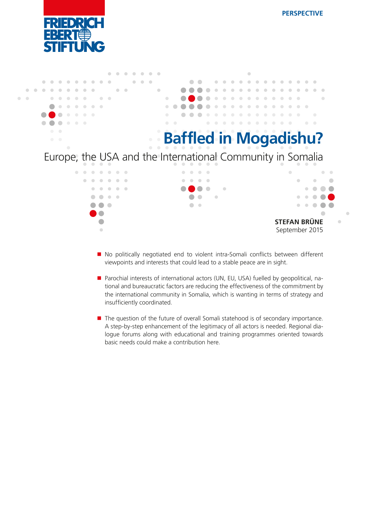



- No politically negotiated end to violent intra-Somali conflicts between different viewpoints and interests that could lead to a stable peace are in sight.
- **Parochial interests of international actors (UN, EU, USA) fuelled by geopolitical, na**tional and bureaucratic factors are reducing the effectiveness of the commitment by the international community in Somalia, which is wanting in terms of strategy and insufficiently coordinated.
- $\blacksquare$  The question of the future of overall Somali statehood is of secondary importance. A step-by-step enhancement of the legitimacy of all actors is needed. Regional dialogue forums along with educational and training programmes oriented towards basic needs could make a contribution here.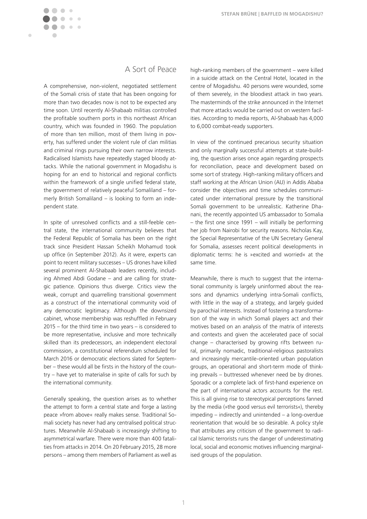

# A Sort of Peace

A comprehensive, non-violent, negotiated settlement of the Somali crisis of state that has been ongoing for more than two decades now is not to be expected any time soon. Until recently Al-Shabaab militias controlled the profitable southern ports in this northeast African country, which was founded in 1960. The population of more than ten million, most of them living in poverty, has suffered under the violent rule of clan militias and criminal rings pursuing their own narrow interests. Radicalised Islamists have repeatedly staged bloody attacks. While the national government in Mogadishu is hoping for an end to historical and regional conflicts within the framework of a single unified federal state, the government of relatively peaceful Somaliland – formerly British Somaliland – is looking to form an independent state.

In spite of unresolved conflicts and a still-feeble central state, the international community believes that the Federal Republic of Somalia has been on the right track since President Hassan Scheikh Mohamud took up office (in September 2012). As it were, experts can point to recent military successes – US drones have killed several prominent Al-Shabaab leaders recently, including Ahmed Abdi Godane – and are calling for strategic patience. Opinions thus diverge. Critics view the weak, corrupt and quarrelling transitional government as a construct of the international community void of any democratic legitimacy. Although the downsized cabinet, whose membership was reshuffled in February 2015 – for the third time in two years – is considered to be more representative, inclusive and more technically skilled than its predecessors, an independent electoral commission, a constitutional referendum scheduled for March 2016 or democratic elections slated for September – these would all be firsts in the history of the country – have yet to materialise in spite of calls for such by the international community.

Generally speaking, the question arises as to whether the attempt to form a central state and forge a lasting peace »from above« really makes sense. Traditional Somali society has never had any centralised political structures. Meanwhile Al-Shabaab is increasingly shifting to asymmetrical warfare. There were more than 400 fatalities from attacks in 2014. On 20 February 2015, 28 more persons – among them members of Parliament as well as high-ranking members of the government – were killed in a suicide attack on the Central Hotel, located in the centre of Mogadishu. 40 persons were wounded, some of them severely, in the bloodiest attack in two years. The masterminds of the strike announced in the Internet that more attacks would be carried out on western facilities. According to media reports, Al-Shabaab has 4,000 to 6,000 combat-ready supporters.

In view of the continued precarious security situation and only marginally successful attempts at state-building, the question arises once again regarding prospects for reconciliation, peace and development based on some sort of strategy. High-ranking military officers and staff working at the African Union (AU) in Addis Ababa consider the objectives and time schedules communicated under international pressure by the transitional Somali government to be unrealistic. Katherine Dhanani, the recently appointed US ambassador to Somalia – the first one since 1991 – will initially be performing her job from Nairobi for security reasons. Nicholas Kay, the Special Representative of the UN Secretary General for Somalia, assesses recent political developments in diplomatic terms: he is »excited and worried« at the same time.

Meanwhile, there is much to suggest that the international community is largely uninformed about the reasons and dynamics underlying intra-Somali conflicts, with little in the way of a strategy, and largely guided by parochial interests. Instead of fostering a transformation of the way in which Somali players act and their motives based on an analysis of the matrix of interests and contexts and given the accelerated pace of social change – characterised by growing rifts between rural, primarily nomadic, traditional-religious pastoralists and increasingly mercantile-oriented urban population groups, an operational and short-term mode of thinking prevails – buttressed whenever need be by drones. Sporadic or a complete lack of first-hand experience on the part of international actors accounts for the rest. This is all giving rise to stereotypical perceptions fanned by the media (»the good versus evil terrorists«), thereby impeding – indirectly and unintended – a long-overdue reorientation that would be so desirable. A policy style that attributes any criticism of the government to radical Islamic terrorists runs the danger of underestimating local, social and economic motives influencing marginalised groups of the population.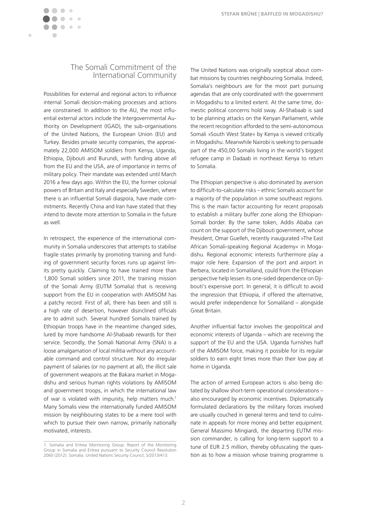

### The Somali Commitment of the International Community

Possibilities for external and regional actors to influence internal Somali decision-making processes and actions are constrained. In addition to the AU, the most influential external actors include the Intergovernmental Authority on Development (IGAD), the sub-organisations of the United Nations, the European Union (EU) and Turkey. Besides private security companies, the approximately 22,000 AMISOM soldiers from Kenya, Uganda, Ethiopia, Djibouti and Burundi, with funding above all from the EU and the USA, are of importance in terms of military policy. Their mandate was extended until March 2016 a few days ago. Within the EU, the former colonial powers of Britain and Italy and especially Sweden, where there is an influential Somali diaspora, have made commitments. Recently China and Iran have stated that they intend to devote more attention to Somalia in the future as well.

In retrospect, the experience of the international community in Somalia underscores that attempts to stabilise fragile states primarily by promoting training and funding of government security forces runs up against limits pretty quickly. Claiming to have trained more than 1,800 Somali soldiers since 2011, the training mission of the Somali Army (EUTM Somalia) that is receiving support from the EU in cooperation with AMISOM has a patchy record. First of all, there has been and still is a high rate of desertion, however disinclined officials are to admit such. Several hundred Somalis trained by Ethiopian troops have in the meantime changed sides, lured by more handsome Al-Shabaab rewards for their service. Secondly, the Somali National Army (SNA) is a loose amalgamation of local militia without any accountable command and control structure. Nor do irregular payment of salaries (or no payment at all), the illicit sale of government weapons at the Bakara market in Mogadishu and serious human rights violations by AMISOM and government troops, in which the international law of war is violated with impunity, help matters much.<sup>1</sup> Many Somalis view the internationally funded AMISOM mission by neighbouring states to be a mere tool with which to pursue their own narrow, primarily nationally motivated, interests.

The United Nations was originally sceptical about combat missions by countries neighbouring Somalia. Indeed, Somalia's neighbours are for the most part pursuing agendas that are only coordinated with the government in Mogadishu to a limited extent. At the same time, domestic political concerns hold sway. Al-Shabaab is said to be planning attacks on the Kenyan Parliament, while the recent recognition afforded to the semi-autonomous Somali »South West State« by Kenya is viewed critically in Mogadishu. Meanwhile Nairobi is seeking to persuade part of the 450,00 Somalis living in the world's biggest refugee camp in Dadaab in northeast Kenya to return to Somalia.

The Ethiopian perspective is also dominated by aversion to difficult-to-calculate risks – ethnic Somalis account for a majority of the population in some southeast regions. This is the main factor accounting for recent proposals to establish a military buffer zone along the Ethiopian-Somali border. By the same token, Addis Ababa can count on the support of the Djibouti government, whose President, Omar Guelleh, recently inaugurated »The East African Somali-speaking Regional Academy« in Mogadishu. Regional economic interests furthermore play a major role here. Expansion of the port and airport in Berbera, located in Somaliland, could from the Ethiopian perspective help lessen its one-sided dependence on Djibouti's expensive port. In general, it is difficult to avoid the impression that Ethiopia, if offered the alternative, would prefer independence for Somaliland – alongside Great Britain.

Another influential factor involves the geopolitical and economic interests of Uganda – which are receiving the support of the EU and the USA. Uganda furnishes half of the AMISOM force, making it possible for its regular soldiers to earn eight times more than their low pay at home in Uganda.

The action of armed European actors is also being dictated by shallow short-term operational considerations – also encouraged by economic incentives. Diplomatically formulated declarations by the military forces involved are usually couched in general terms and tend to culminate in appeals for more money and better equipment. General Massimo Mingiardi, the departing EUTM mission commander, is calling for long-term support to a tune of EUR 2.5 million, thereby obfuscating the question as to how a mission whose training programme is

<sup>1.</sup> Somalia and Eritrea Monitoring Group: Report of the Monitoring Group in Somalia and Eritrea pursuant to Security Council Resolution 2060 (2012): Somalia. United Nations Security Council, S/2013/413.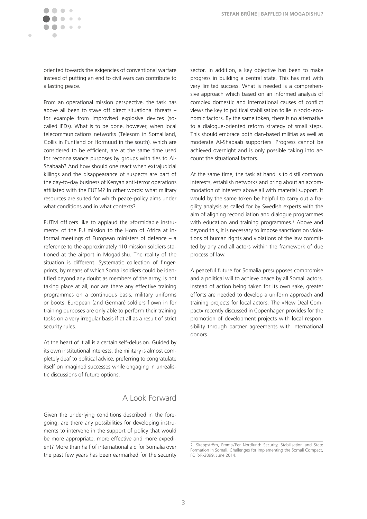ò

oriented towards the exigencies of conventional warfare instead of putting an end to civil wars can contribute to a lasting peace.

From an operational mission perspective, the task has above all been to stave off direct situational threats – for example from improvised explosive devices (socalled IEDs). What is to be done, however, when local telecommunications networks (Telesom in Somaliland, Gollis in Puntland or Hormuud in the south), which are considered to be efficient, are at the same time used for reconnaissance purposes by groups with ties to Al-Shabaab? And how should one react when extrajudicial killings and the disappearance of suspects are part of the day-to-day business of Kenyan anti-terror operations affiliated with the EUTM? In other words: what military resources are suited for which peace-policy aims under what conditions and in what contexts?

EUTM officers like to applaud the »formidable instrument« of the EU mission to the Horn of Africa at informal meetings of European ministers of defence – a reference to the approximately 110 mission soldiers stationed at the airport in Mogadishu. The reality of the situation is different. Systematic collection of fingerprints, by means of which Somali soldiers could be identified beyond any doubt as members of the army, is not taking place at all, nor are there any effective training programmes on a continuous basis, military uniforms or boots. European (and German) soldiers flown in for training purposes are only able to perform their training tasks on a very irregular basis if at all as a result of strict security rules.

At the heart of it all is a certain self-delusion. Guided by its own institutional interests, the military is almost completely deaf to political advice, preferring to congratulate itself on imagined successes while engaging in unrealistic discussions of future options.

## A Look Forward

Given the underlying conditions described in the foregoing, are there any possibilities for developing instruments to intervene in the support of policy that would be more appropriate, more effective and more expedient? More than half of international aid for Somalia over the past few years has been earmarked for the security sector. In addition, a key objective has been to make progress in building a central state. This has met with very limited success. What is needed is a comprehensive approach which based on an informed analysis of complex domestic and international causes of conflict views the key to political stabilisation to lie in socio-economic factors. By the same token, there is no alternative to a dialogue-oriented reform strategy of small steps. This should embrace both clan-based militias as well as moderate Al-Shabaab supporters. Progress cannot be achieved overnight and is only possible taking into account the situational factors.

At the same time, the task at hand is to distil common interests, establish networks and bring about an accommodation of interests above all with material support. It would by the same token be helpful to carry out a fragility analysis as called for by Swedish experts with the aim of aligning reconciliation and dialogue programmes with education and training programmes.<sup>2</sup> Above and beyond this, it is necessary to impose sanctions on violations of human rights and violations of the law committed by any and all actors within the framework of due process of law.

A peaceful future for Somalia presupposes compromise and a political will to achieve peace by all Somali actors. Instead of action being taken for its own sake, greater efforts are needed to develop a uniform approach and training projects for local actors. The »New Deal Compact« recently discussed in Copenhagen provides for the promotion of development projects with local responsibility through partner agreements with international donors.

<sup>2.</sup> Skeppström, Emma/Per Nordlund: Security, Stabilisation and State Formation in Somali. Challenges for Implementing the Somali Compact, FOIR-R-3899, June 2014.